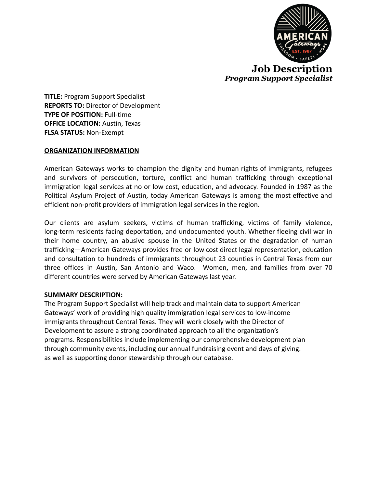

**TITLE:** Program Support Specialist **REPORTS TO:** Director of Development **TYPE OF POSITION:** Full-time **OFFICE LOCATION:** Austin, Texas **FLSA STATUS:** Non-Exempt

### **ORGANIZATION INFORMATION**

American Gateways works to champion the dignity and human rights of immigrants, refugees and survivors of persecution, torture, conflict and human trafficking through exceptional immigration legal services at no or low cost, education, and advocacy. Founded in 1987 as the Political Asylum Project of Austin, today American Gateways is among the most effective and efficient non-profit providers of immigration legal services in the region.

Our clients are asylum seekers, victims of human trafficking, victims of family violence, long-term residents facing deportation, and undocumented youth. Whether fleeing civil war in their home country, an abusive spouse in the United States or the degradation of human trafficking—American Gateways provides free or low cost direct legal representation, education and consultation to hundreds of immigrants throughout 23 counties in Central Texas from our three offices in Austin, San Antonio and Waco. Women, men, and families from over 70 different countries were served by American Gateways last year.

### **SUMMARY DESCRIPTION:**

The Program Support Specialist will help track and maintain data to support American Gateways' work of providing high quality immigration legal services to low-income immigrants throughout Central Texas. They will work closely with the Director of Development to assure a strong coordinated approach to all the organization's programs. Responsibilities include implementing our comprehensive development plan through community events, including our annual fundraising event and days of giving. as well as supporting donor stewardship through our database.